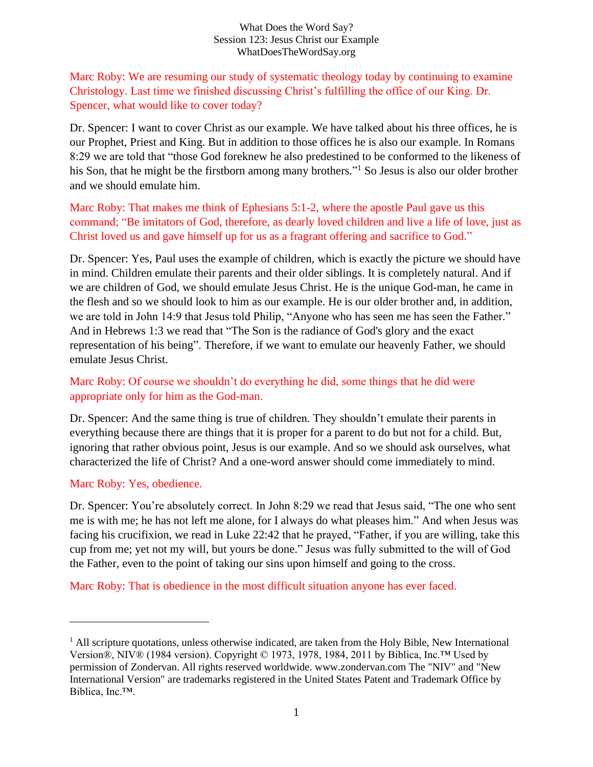Marc Roby: We are resuming our study of systematic theology today by continuing to examine Christology. Last time we finished discussing Christ's fulfilling the office of our King. Dr. Spencer, what would like to cover today?

Dr. Spencer: I want to cover Christ as our example. We have talked about his three offices, he is our Prophet, Priest and King. But in addition to those offices he is also our example. In Romans 8:29 we are told that "those God foreknew he also predestined to be conformed to the likeness of his Son, that he might be the firstborn among many brothers."<sup>1</sup> So Jesus is also our older brother and we should emulate him.

Marc Roby: That makes me think of Ephesians 5:1-2, where the apostle Paul gave us this command; "Be imitators of God, therefore, as dearly loved children and live a life of love, just as Christ loved us and gave himself up for us as a fragrant offering and sacrifice to God."

Dr. Spencer: Yes, Paul uses the example of children, which is exactly the picture we should have in mind. Children emulate their parents and their older siblings. It is completely natural. And if we are children of God, we should emulate Jesus Christ. He is the unique God-man, he came in the flesh and so we should look to him as our example. He is our older brother and, in addition, we are told in John 14:9 that Jesus told Philip, "Anyone who has seen me has seen the Father." And in Hebrews 1:3 we read that "The Son is the radiance of God's glory and the exact representation of his being". Therefore, if we want to emulate our heavenly Father, we should emulate Jesus Christ.

# Marc Roby: Of course we shouldn't do everything he did, some things that he did were appropriate only for him as the God-man.

Dr. Spencer: And the same thing is true of children. They shouldn't emulate their parents in everything because there are things that it is proper for a parent to do but not for a child. But, ignoring that rather obvious point, Jesus is our example. And so we should ask ourselves, what characterized the life of Christ? And a one-word answer should come immediately to mind.

#### Marc Roby: Yes, obedience.

Dr. Spencer: You're absolutely correct. In John 8:29 we read that Jesus said, "The one who sent me is with me; he has not left me alone, for I always do what pleases him." And when Jesus was facing his crucifixion, we read in Luke 22:42 that he prayed, "Father, if you are willing, take this cup from me; yet not my will, but yours be done." Jesus was fully submitted to the will of God the Father, even to the point of taking our sins upon himself and going to the cross.

Marc Roby: That is obedience in the most difficult situation anyone has ever faced.

 $<sup>1</sup>$  All scripture quotations, unless otherwise indicated, are taken from the Holy Bible, New International</sup> Version®, NIV® (1984 version). Copyright © 1973, 1978, 1984, 2011 by Biblica, Inc.™ Used by permission of Zondervan. All rights reserved worldwide. www.zondervan.com The "NIV" and "New International Version" are trademarks registered in the United States Patent and Trademark Office by Biblica, Inc.™.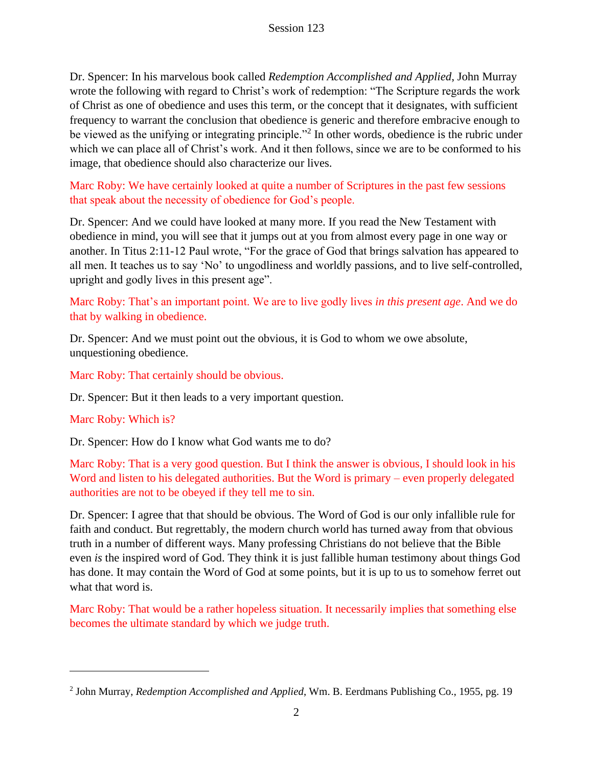Dr. Spencer: In his marvelous book called *Redemption Accomplished and Applied*, John Murray wrote the following with regard to Christ's work of redemption: "The Scripture regards the work of Christ as one of obedience and uses this term, or the concept that it designates, with sufficient frequency to warrant the conclusion that obedience is generic and therefore embracive enough to be viewed as the unifying or integrating principle."<sup>2</sup> In other words, obedience is the rubric under which we can place all of Christ's work. And it then follows, since we are to be conformed to his image, that obedience should also characterize our lives.

Marc Roby: We have certainly looked at quite a number of Scriptures in the past few sessions that speak about the necessity of obedience for God's people.

Dr. Spencer: And we could have looked at many more. If you read the New Testament with obedience in mind, you will see that it jumps out at you from almost every page in one way or another. In Titus 2:11-12 Paul wrote, "For the grace of God that brings salvation has appeared to all men. It teaches us to say 'No' to ungodliness and worldly passions, and to live self-controlled, upright and godly lives in this present age".

## Marc Roby: That's an important point. We are to live godly lives *in this present age*. And we do that by walking in obedience.

Dr. Spencer: And we must point out the obvious, it is God to whom we owe absolute, unquestioning obedience.

Marc Roby: That certainly should be obvious.

Dr. Spencer: But it then leads to a very important question.

#### Marc Roby: Which is?

Dr. Spencer: How do I know what God wants me to do?

Marc Roby: That is a very good question. But I think the answer is obvious, I should look in his Word and listen to his delegated authorities. But the Word is primary – even properly delegated authorities are not to be obeyed if they tell me to sin.

Dr. Spencer: I agree that that should be obvious. The Word of God is our only infallible rule for faith and conduct. But regrettably, the modern church world has turned away from that obvious truth in a number of different ways. Many professing Christians do not believe that the Bible even *is* the inspired word of God. They think it is just fallible human testimony about things God has done. It may contain the Word of God at some points, but it is up to us to somehow ferret out what that word is.

Marc Roby: That would be a rather hopeless situation. It necessarily implies that something else becomes the ultimate standard by which we judge truth.

<sup>2</sup> John Murray, *Redemption Accomplished and Applied*, Wm. B. Eerdmans Publishing Co., 1955, pg. 19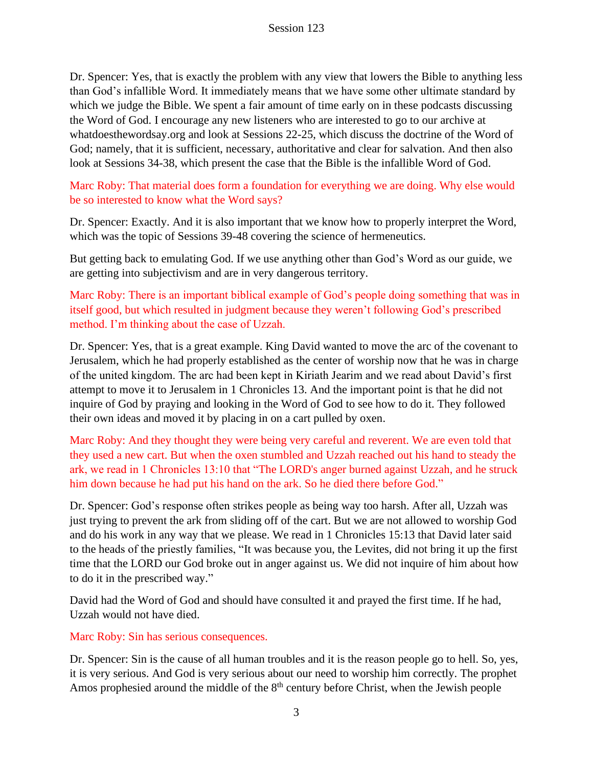Dr. Spencer: Yes, that is exactly the problem with any view that lowers the Bible to anything less than God's infallible Word. It immediately means that we have some other ultimate standard by which we judge the Bible. We spent a fair amount of time early on in these podcasts discussing the Word of God. I encourage any new listeners who are interested to go to our archive at whatdoesthewordsay.org and look at Sessions 22-25, which discuss the doctrine of the Word of God; namely, that it is sufficient, necessary, authoritative and clear for salvation. And then also look at Sessions 34-38, which present the case that the Bible is the infallible Word of God.

Marc Roby: That material does form a foundation for everything we are doing. Why else would be so interested to know what the Word says?

Dr. Spencer: Exactly. And it is also important that we know how to properly interpret the Word, which was the topic of Sessions 39-48 covering the science of hermeneutics.

But getting back to emulating God. If we use anything other than God's Word as our guide, we are getting into subjectivism and are in very dangerous territory.

Marc Roby: There is an important biblical example of God's people doing something that was in itself good, but which resulted in judgment because they weren't following God's prescribed method. I'm thinking about the case of Uzzah.

Dr. Spencer: Yes, that is a great example. King David wanted to move the arc of the covenant to Jerusalem, which he had properly established as the center of worship now that he was in charge of the united kingdom. The arc had been kept in Kiriath Jearim and we read about David's first attempt to move it to Jerusalem in 1 Chronicles 13. And the important point is that he did not inquire of God by praying and looking in the Word of God to see how to do it. They followed their own ideas and moved it by placing in on a cart pulled by oxen.

Marc Roby: And they thought they were being very careful and reverent. We are even told that they used a new cart. But when the oxen stumbled and Uzzah reached out his hand to steady the ark, we read in 1 Chronicles 13:10 that "The LORD's anger burned against Uzzah, and he struck him down because he had put his hand on the ark. So he died there before God."

Dr. Spencer: God's response often strikes people as being way too harsh. After all, Uzzah was just trying to prevent the ark from sliding off of the cart. But we are not allowed to worship God and do his work in any way that we please. We read in 1 Chronicles 15:13 that David later said to the heads of the priestly families, "It was because you, the Levites, did not bring it up the first time that the LORD our God broke out in anger against us. We did not inquire of him about how to do it in the prescribed way."

David had the Word of God and should have consulted it and prayed the first time. If he had, Uzzah would not have died.

#### Marc Roby: Sin has serious consequences.

Dr. Spencer: Sin is the cause of all human troubles and it is the reason people go to hell. So, yes, it is very serious. And God is very serious about our need to worship him correctly. The prophet Amos prophesied around the middle of the  $8<sup>th</sup>$  century before Christ, when the Jewish people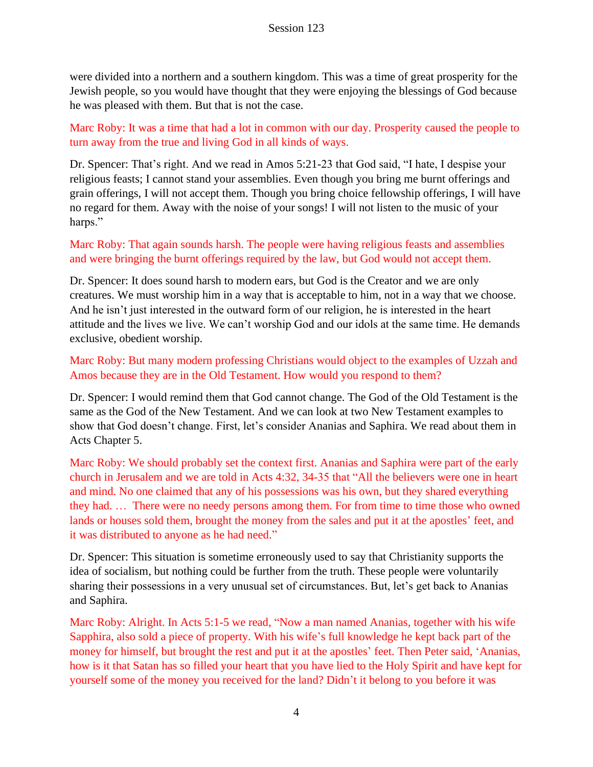were divided into a northern and a southern kingdom. This was a time of great prosperity for the Jewish people, so you would have thought that they were enjoying the blessings of God because he was pleased with them. But that is not the case.

Marc Roby: It was a time that had a lot in common with our day. Prosperity caused the people to turn away from the true and living God in all kinds of ways.

Dr. Spencer: That's right. And we read in Amos 5:21-23 that God said, "I hate, I despise your religious feasts; I cannot stand your assemblies. Even though you bring me burnt offerings and grain offerings, I will not accept them. Though you bring choice fellowship offerings, I will have no regard for them. Away with the noise of your songs! I will not listen to the music of your harps."

Marc Roby: That again sounds harsh. The people were having religious feasts and assemblies and were bringing the burnt offerings required by the law, but God would not accept them.

Dr. Spencer: It does sound harsh to modern ears, but God is the Creator and we are only creatures. We must worship him in a way that is acceptable to him, not in a way that we choose. And he isn't just interested in the outward form of our religion, he is interested in the heart attitude and the lives we live. We can't worship God and our idols at the same time. He demands exclusive, obedient worship.

Marc Roby: But many modern professing Christians would object to the examples of Uzzah and Amos because they are in the Old Testament. How would you respond to them?

Dr. Spencer: I would remind them that God cannot change. The God of the Old Testament is the same as the God of the New Testament. And we can look at two New Testament examples to show that God doesn't change. First, let's consider Ananias and Saphira. We read about them in Acts Chapter 5.

Marc Roby: We should probably set the context first. Ananias and Saphira were part of the early church in Jerusalem and we are told in Acts 4:32, 34-35 that "All the believers were one in heart and mind. No one claimed that any of his possessions was his own, but they shared everything they had. … There were no needy persons among them. For from time to time those who owned lands or houses sold them, brought the money from the sales and put it at the apostles' feet, and it was distributed to anyone as he had need."

Dr. Spencer: This situation is sometime erroneously used to say that Christianity supports the idea of socialism, but nothing could be further from the truth. These people were voluntarily sharing their possessions in a very unusual set of circumstances. But, let's get back to Ananias and Saphira.

Marc Roby: Alright. In Acts 5:1-5 we read, "Now a man named Ananias, together with his wife Sapphira, also sold a piece of property. With his wife's full knowledge he kept back part of the money for himself, but brought the rest and put it at the apostles' feet. Then Peter said, 'Ananias, how is it that Satan has so filled your heart that you have lied to the Holy Spirit and have kept for yourself some of the money you received for the land? Didn't it belong to you before it was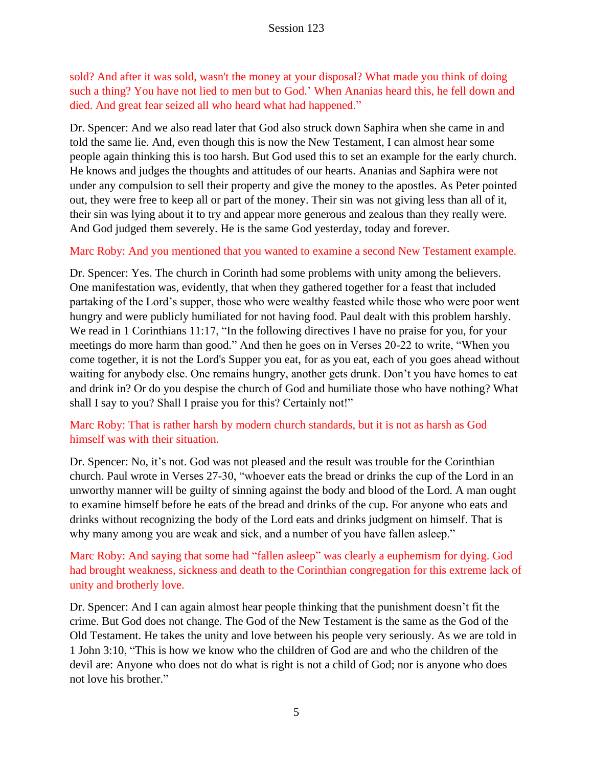sold? And after it was sold, wasn't the money at your disposal? What made you think of doing such a thing? You have not lied to men but to God.' When Ananias heard this, he fell down and died. And great fear seized all who heard what had happened."

Dr. Spencer: And we also read later that God also struck down Saphira when she came in and told the same lie. And, even though this is now the New Testament, I can almost hear some people again thinking this is too harsh. But God used this to set an example for the early church. He knows and judges the thoughts and attitudes of our hearts. Ananias and Saphira were not under any compulsion to sell their property and give the money to the apostles. As Peter pointed out, they were free to keep all or part of the money. Their sin was not giving less than all of it, their sin was lying about it to try and appear more generous and zealous than they really were. And God judged them severely. He is the same God yesterday, today and forever.

Marc Roby: And you mentioned that you wanted to examine a second New Testament example.

Dr. Spencer: Yes. The church in Corinth had some problems with unity among the believers. One manifestation was, evidently, that when they gathered together for a feast that included partaking of the Lord's supper, those who were wealthy feasted while those who were poor went hungry and were publicly humiliated for not having food. Paul dealt with this problem harshly. We read in 1 Corinthians 11:17, "In the following directives I have no praise for you, for your meetings do more harm than good." And then he goes on in Verses 20-22 to write, "When you come together, it is not the Lord's Supper you eat, for as you eat, each of you goes ahead without waiting for anybody else. One remains hungry, another gets drunk. Don't you have homes to eat and drink in? Or do you despise the church of God and humiliate those who have nothing? What shall I say to you? Shall I praise you for this? Certainly not!"

# Marc Roby: That is rather harsh by modern church standards, but it is not as harsh as God himself was with their situation.

Dr. Spencer: No, it's not. God was not pleased and the result was trouble for the Corinthian church. Paul wrote in Verses 27-30, "whoever eats the bread or drinks the cup of the Lord in an unworthy manner will be guilty of sinning against the body and blood of the Lord. A man ought to examine himself before he eats of the bread and drinks of the cup. For anyone who eats and drinks without recognizing the body of the Lord eats and drinks judgment on himself. That is why many among you are weak and sick, and a number of you have fallen asleep."

Marc Roby: And saying that some had "fallen asleep" was clearly a euphemism for dying. God had brought weakness, sickness and death to the Corinthian congregation for this extreme lack of unity and brotherly love.

Dr. Spencer: And I can again almost hear people thinking that the punishment doesn't fit the crime. But God does not change. The God of the New Testament is the same as the God of the Old Testament. He takes the unity and love between his people very seriously. As we are told in 1 John 3:10, "This is how we know who the children of God are and who the children of the devil are: Anyone who does not do what is right is not a child of God; nor is anyone who does not love his brother."